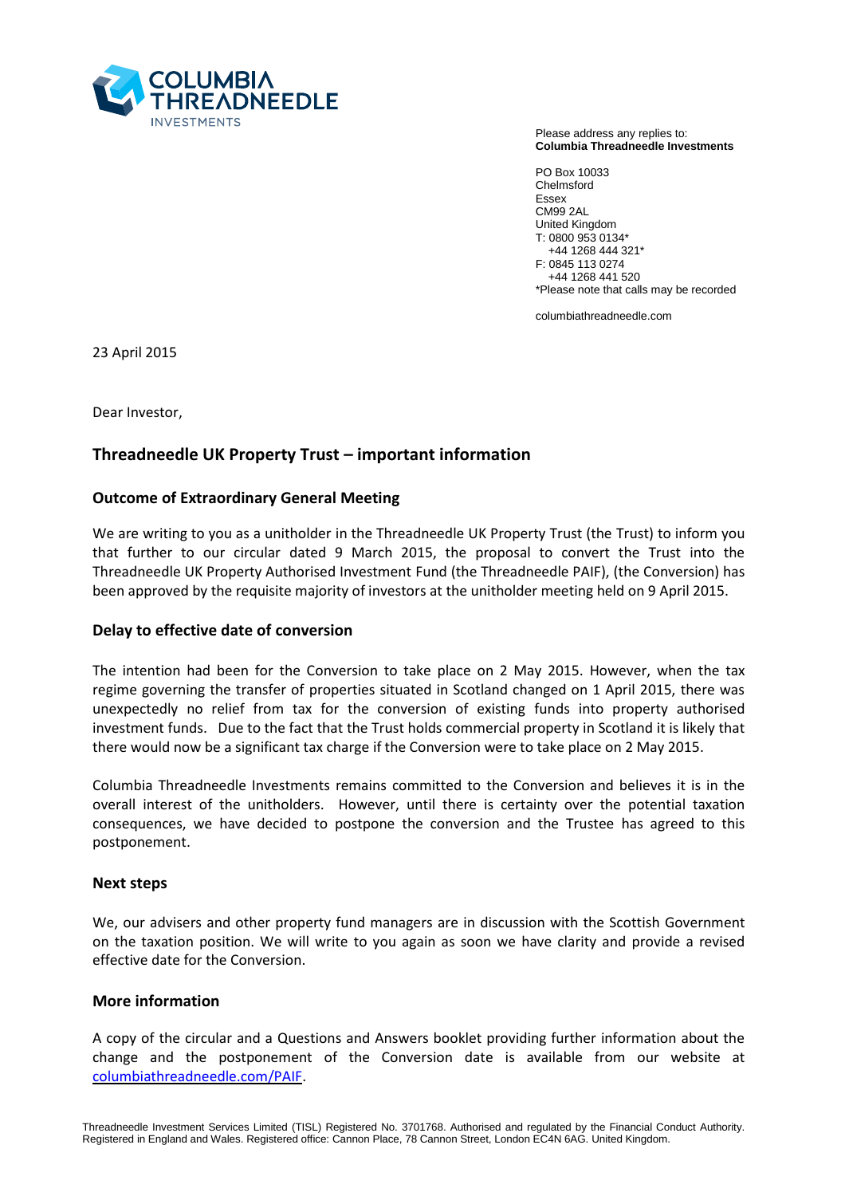

Please address any replies to: **Columbia Threadneedle Investments**

PO Box 10033 Chelmsford Essex CM99 2AL United Kingdom T: 0800 953 0134\* +44 1268 444 321\* F: 0845 113 0274 +44 1268 441 520 \*Please note that calls may be recorded

columbiathreadneedle.com

23 April 2015

Dear Investor,

# **Threadneedle UK Property Trust – important information**

## **Outcome of Extraordinary General Meeting**

We are writing to you as a unitholder in the Threadneedle UK Property Trust (the Trust) to inform you that further to our circular dated 9 March 2015, the proposal to convert the Trust into the Threadneedle UK Property Authorised Investment Fund (the Threadneedle PAIF), (the Conversion) has been approved by the requisite majority of investors at the unitholder meeting held on 9 April 2015.

## **Delay to effective date of conversion**

The intention had been for the Conversion to take place on 2 May 2015. However, when the tax regime governing the transfer of properties situated in Scotland changed on 1 April 2015, there was unexpectedly no relief from tax for the conversion of existing funds into property authorised investment funds. Due to the fact that the Trust holds commercial property in Scotland it is likely that there would now be a significant tax charge if the Conversion were to take place on 2 May 2015.

Columbia Threadneedle Investments remains committed to the Conversion and believes it is in the overall interest of the unitholders. However, until there is certainty over the potential taxation consequences, we have decided to postpone the conversion and the Trustee has agreed to this postponement.

#### **Next steps**

We, our advisers and other property fund managers are in discussion with the Scottish Government on the taxation position. We will write to you again as soon we have clarity and provide a revised effective date for the Conversion.

#### **More information**

A copy of the circular and a Questions and Answers booklet providing further information about the change and the postponement of the Conversion date is available from our website at [columbiathreadneedle.com/PAIF.](http://www.columbiathreadneedle.com/PAIF)